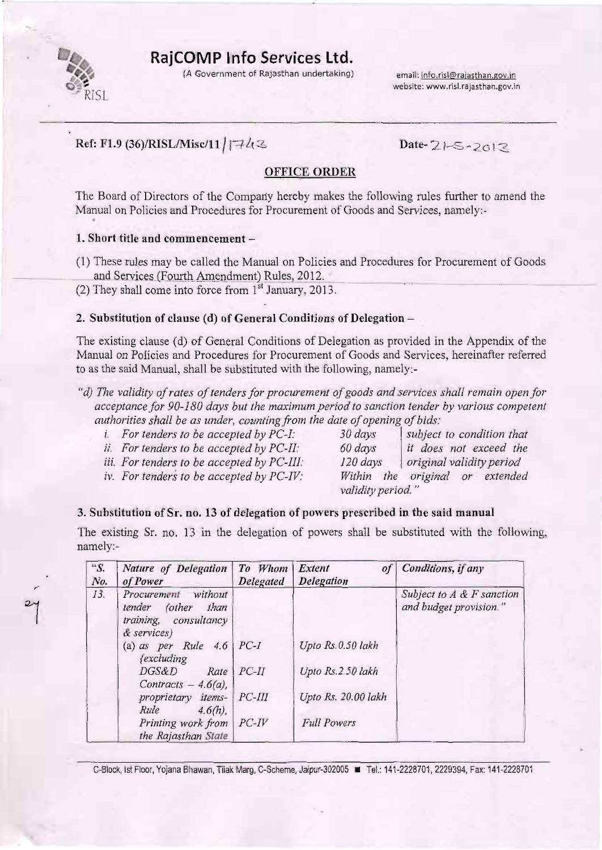

<sup>-</sup>

RajCOMP Info Services Ltd.

(A Government of Rajasthan undertaking) email: info.risl@rajasthan.gov.in

website: www,risl.rajasthan.gov.in

## Ref: F1.9 (36)/RISL/Misc/11 |  $742$

### **OFFICE ORDER**

The Board of Directors of the Compariy hereby makes the following rules further to amend the Manual on Policies and Procedures for Procurement of Goods and Services, namely:-

#### 1. Short title and commencement -

- (1) These rules may be called the Manual on Policies and Procedures for Procurement of Goods and Services (Fourth Amendment) Rules, 2012.
- (2) They shall come into force from  $1<sup>st</sup>$  January, 2013.

#### 2. Substitution of clause (d) of General Conditions of Delegation -

The existing clause (d) of General Conditions of Delegation as provided in the Appendix of the Manual on Policies and Procedures for Procurement of Goods and Services, hereinafter referred to as the said Manual, shail be substituted with the following, namely:-

- "d) The validity of rates of tenders for procurement of goods and services shall remain open for acceptance for 90-180 days but the maximum period to sanction tender by various competent authorities shall be as under, counting from the date of opening of bids:<br>i. For tenders to be accepted by PC-I:  $\frac{30 \text{ days}}{\text{sw}}$  subject to condition that
	-
	-
	- iii. For tenders to be accepted by  $PC-III$ :
	- iv. For tenders to be accepted by  $PC\text{-}IV$ : Within the original or extended
	- i. For tenders to be accepted by  $PC-I$ : 30 days subject to condition that i. For tenders to be accepted by  $PC-I$ : 60 days it does not exceed the ii. For tenders to be accepted by PC-II: 60 days it does not exceed the iii. For tenders to be accepted by PC-III:  $\begin{array}{|l|l|}\n\hline\n120 \text{ days} & \text{original validity period}\n\end{array}$ validity period. "

#### 3. Substitution of Sr. no. 13 of delegation of powers prescribed in the said manual

The existing Sr. no. 13 in the delegation of powers shall be substituted with the following, namely:-

| ${}^{\alpha}S.$<br>No. | Nature of Delegation<br>of Power                                                  | To Whom Extent<br>Delegated | of<br>Delegation    | Conditions, if any                                     |
|------------------------|-----------------------------------------------------------------------------------|-----------------------------|---------------------|--------------------------------------------------------|
| 13.                    | Procurement without<br>tender (other than<br>training, consultancy<br>& services) |                             |                     | Subject to $A \& F$ sanction<br>and budget provision." |
|                        | (a) as per Rule $4.6$ PC-I<br>fexcluding                                          |                             | Upto Rs.0.50 lakh   |                                                        |
|                        | DGS&D<br>Rate<br>Contracts - $4.6(a)$ ,                                           | $PC-II$                     | Upto Rs.2.50 lakh   |                                                        |
|                        | proprietary items-<br>Rule<br>$4.6(h)$ ,                                          | $PC-III$                    | Upto Rs. 20.00 lakh |                                                        |
|                        | Printing work from PC-IV<br>the Rajasthan State                                   |                             | <b>Full Powers</b>  |                                                        |

C-Block, Ist Floor, Yojana Bhawan, Tilak Marg, C-Scheme, Jaipur-302005 F Tel.: 141-2228701, 2229394, Fax: 141-2228701